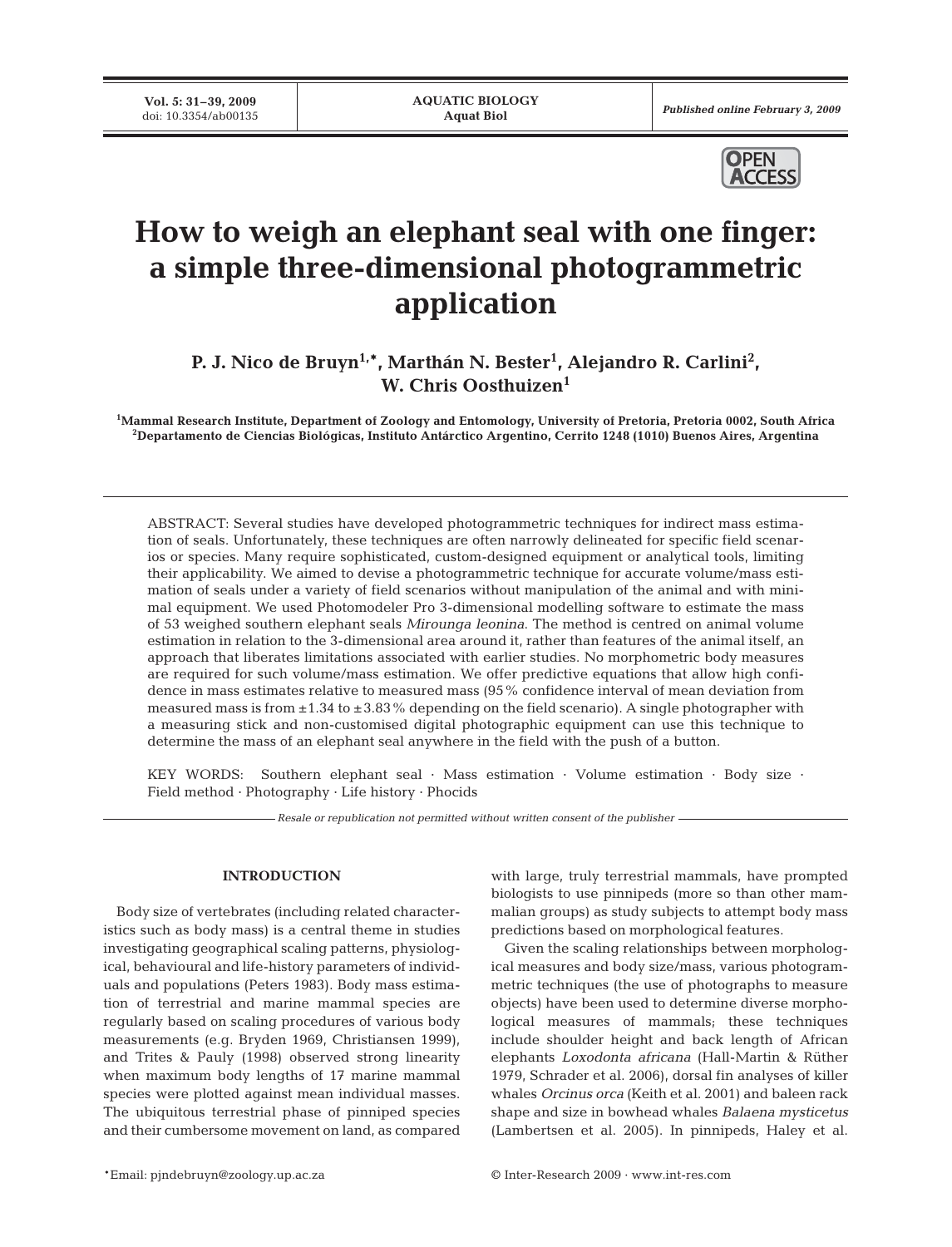**Vol. 5: 31–39, 2009**<br>doi: 10.3354/ab00135



# **How to weigh an elephant seal with one finger: a simple three-dimensional photogrammetric application**

P. J. Nico de Bruyn<sup>1,\*</sup>, Marthán N. Bester<sup>1</sup>, Alejandro R. Carlini<sup>2</sup>, **W. Chris Oosthuizen1**

**1 Mammal Research Institute, Department of Zoology and Entomology, University of Pretoria, Pretoria 0002, South Africa 2 Departamento de Ciencias Biológicas, Instituto Antárctico Argentino, Cerrito 1248 (1010) Buenos Aires, Argentina**

ABSTRACT: Several studies have developed photogrammetric techniques for indirect mass estimation of seals. Unfortunately, these techniques are often narrowly delineated for specific field scenarios or species. Many require sophisticated, custom-designed equipment or analytical tools, limiting their applicability. We aimed to devise a photogrammetric technique for accurate volume/mass estimation of seals under a variety of field scenarios without manipulation of the animal and with minimal equipment. We used Photomodeler Pro 3-dimensional modelling software to estimate the mass of 53 weighed southern elephant seals *Mirounga leonina*. The method is centred on animal volume estimation in relation to the 3-dimensional area around it, rather than features of the animal itself, an approach that liberates limitations associated with earlier studies. No morphometric body measures are required for such volume/mass estimation. We offer predictive equations that allow high confidence in mass estimates relative to measured mass (95% confidence interval of mean deviation from measured mass is from  $\pm 1.34$  to  $\pm 3.83$ % depending on the field scenario). A single photographer with a measuring stick and non-customised digital photographic equipment can use this technique to determine the mass of an elephant seal anywhere in the field with the push of a button.

KEY WORDS: Southern elephant seal · Mass estimation · Volume estimation · Body size · Field method · Photography · Life history · Phocids

*Resale or republication not permitted without written consent of the publisher*

## **INTRODUCTION**

Body size of vertebrates (including related characteristics such as body mass) is a central theme in studies investigating geographical scaling patterns, physiological, behavioural and life-history parameters of individuals and populations (Peters 1983). Body mass estimation of terrestrial and marine mammal species are regularly based on scaling procedures of various body measurements (e.g. Bryden 1969, Christiansen 1999), and Trites & Pauly (1998) observed strong linearity when maximum body lengths of 17 marine mammal species were plotted against mean individual masses. The ubiquitous terrestrial phase of pinniped species and their cumbersome movement on land, as compared with large, truly terrestrial mammals, have prompted biologists to use pinnipeds (more so than other mammalian groups) as study subjects to attempt body mass predictions based on morphological features.

Given the scaling relationships between morphological measures and body size/mass, various photogrammetric techniques (the use of photographs to measure objects) have been used to determine diverse morphological measures of mammals; these techniques include shoulder height and back length of African elephants *Loxodonta africana* (Hall-Martin & Rüther 1979, Schrader et al. 2006), dorsal fin analyses of killer whales *Orcinus orca* (Keith et al. 2001) and baleen rack shape and size in bowhead whales *Balaena mysticetus* (Lambertsen et al. 2005). In pinnipeds, Haley et al.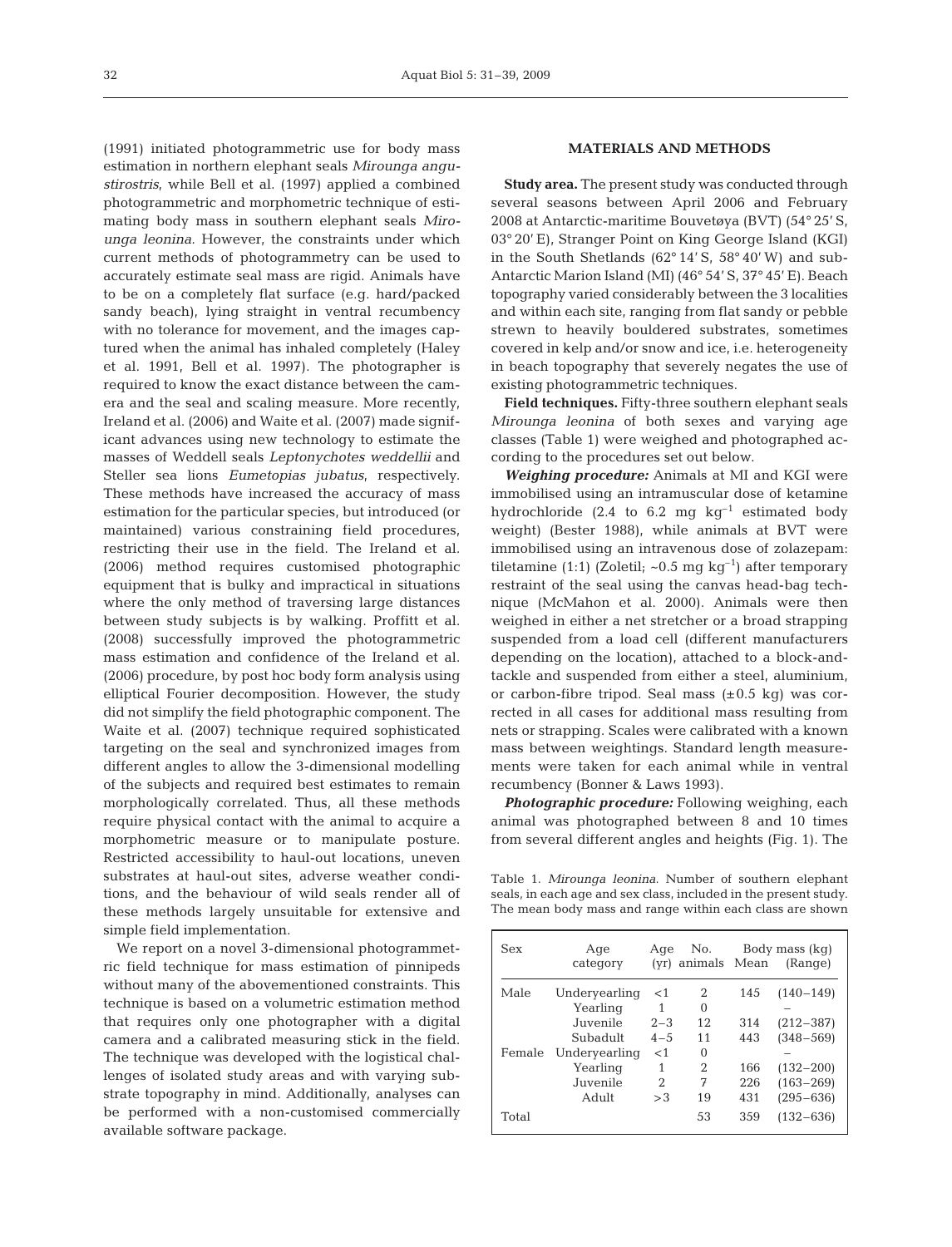(1991) initiated photogrammetric use for body mass estimation in northern elephant seals *Mirounga angustirostris*, while Bell et al. (1997) applied a combined photogrammetric and morphometric technique of estimating body mass in southern elephant seals *Mirounga leonina*. However, the constraints under which current methods of photogrammetry can be used to accurately estimate seal mass are rigid. Animals have to be on a completely flat surface (e.g. hard/packed sandy beach), lying straight in ventral recumbency with no tolerance for movement, and the images captured when the animal has inhaled completely (Haley et al. 1991, Bell et al. 1997). The photographer is required to know the exact distance between the camera and the seal and scaling measure. More recently, Ireland et al. (2006) and Waite et al. (2007) made significant advances using new technology to estimate the masses of Weddell seals *Leptonychotes weddellii* and Steller sea lions *Eumetopias jubatus*, respectively. These methods have increased the accuracy of mass estimation for the particular species, but introduced (or maintained) various constraining field procedures, restricting their use in the field. The Ireland et al. (2006) method requires customised photographic equipment that is bulky and impractical in situations where the only method of traversing large distances between study subjects is by walking. Proffitt et al. (2008) successfully improved the photogrammetric mass estimation and confidence of the Ireland et al. (2006) procedure, by post hoc body form analysis using elliptical Fourier decomposition. However, the study did not simplify the field photographic component. The Waite et al. (2007) technique required sophisticated targeting on the seal and synchronized images from different angles to allow the 3-dimensional modelling of the subjects and required best estimates to remain morphologically correlated. Thus, all these methods require physical contact with the animal to acquire a morphometric measure or to manipulate posture. Restricted accessibility to haul-out locations, uneven substrates at haul-out sites, adverse weather conditions, and the behaviour of wild seals render all of these methods largely unsuitable for extensive and simple field implementation.

We report on a novel 3-dimensional photogrammetric field technique for mass estimation of pinnipeds without many of the abovementioned constraints. This technique is based on a volumetric estimation method that requires only one photographer with a digital camera and a calibrated measuring stick in the field. The technique was developed with the logistical challenges of isolated study areas and with varying substrate topography in mind. Additionally, analyses can be performed with a non-customised commercially available software package.

## **MATERIALS AND METHODS**

**Study area.** The present study was conducted through several seasons between April 2006 and February 2008 at Antarctic-maritime Bouvetøya (BVT) (54° 25' S, 03° 20' E), Stranger Point on King George Island (KGI) in the South Shetlands ( $62^{\circ}$  14' S,  $58^{\circ}$  40' W) and sub-Antarctic Marion Island (MI) (46° 54' S, 37° 45' E). Beach topography varied considerably between the 3 localities and within each site, ranging from flat sandy or pebble strewn to heavily bouldered substrates, sometimes covered in kelp and/or snow and ice, i.e. heterogeneity in beach topography that severely negates the use of existing photogrammetric techniques.

**Field techniques.** Fifty-three southern elephant seals *Mirounga leonina* of both sexes and varying age classes (Table 1) were weighed and photographed according to the procedures set out below.

*Weighing procedure:* Animals at MI and KGI were immobilised using an intramuscular dose of ketamine hydrochloride (2.4 to 6.2 mg  $kg^{-1}$  estimated body weight) (Bester 1988), while animals at BVT were immobilised using an intravenous dose of zolazepam: tiletamine (1:1) (Zoletil;  $\sim 0.5$  mg kg<sup>-1</sup>) after temporary restraint of the seal using the canvas head-bag technique (McMahon et al. 2000). Animals were then weighed in either a net stretcher or a broad strapping suspended from a load cell (different manufacturers depending on the location), attached to a block-andtackle and suspended from either a steel, aluminium, or carbon-fibre tripod. Seal mass  $(\pm 0.5 \text{ kg})$  was corrected in all cases for additional mass resulting from nets or strapping. Scales were calibrated with a known mass between weightings. Standard length measurements were taken for each animal while in ventral recumbency (Bonner & Laws 1993).

*Photographic procedure:* Following weighing, each animal was photographed between 8 and 10 times from several different angles and heights (Fig. 1). The

Table 1. *Mirounga leonina*. Number of southern elephant seals, in each age and sex class, included in the present study. The mean body mass and range within each class are shown

| Sex    | Age<br>category | Age     | No.<br>(yr) animals Mean |     | Body mass (kg)<br>(Range) |
|--------|-----------------|---------|--------------------------|-----|---------------------------|
| Male   | Undervearling   | $<$ 1   | 2                        | 145 | $(140 - 149)$             |
| Female | Yearling        |         | $\Omega$                 |     |                           |
|        | Juvenile        | $2 - 3$ | 12                       | 314 | $(212 - 387)$             |
|        | Subadult        | $4 - 5$ | 11                       | 443 | $(348 - 569)$             |
|        | Undervearling   | $<$ 1   | $\Omega$                 |     |                           |
|        | Yearling        | 1       | 2                        | 166 | $(132 - 200)$             |
|        | Juvenile        | 2       | 7                        | 226 | $(163 - 269)$             |
|        | Adult           | >3      | 19                       | 431 | $(295 - 636)$             |
| Total  |                 |         | 53                       | 359 | $(132 - 636)$             |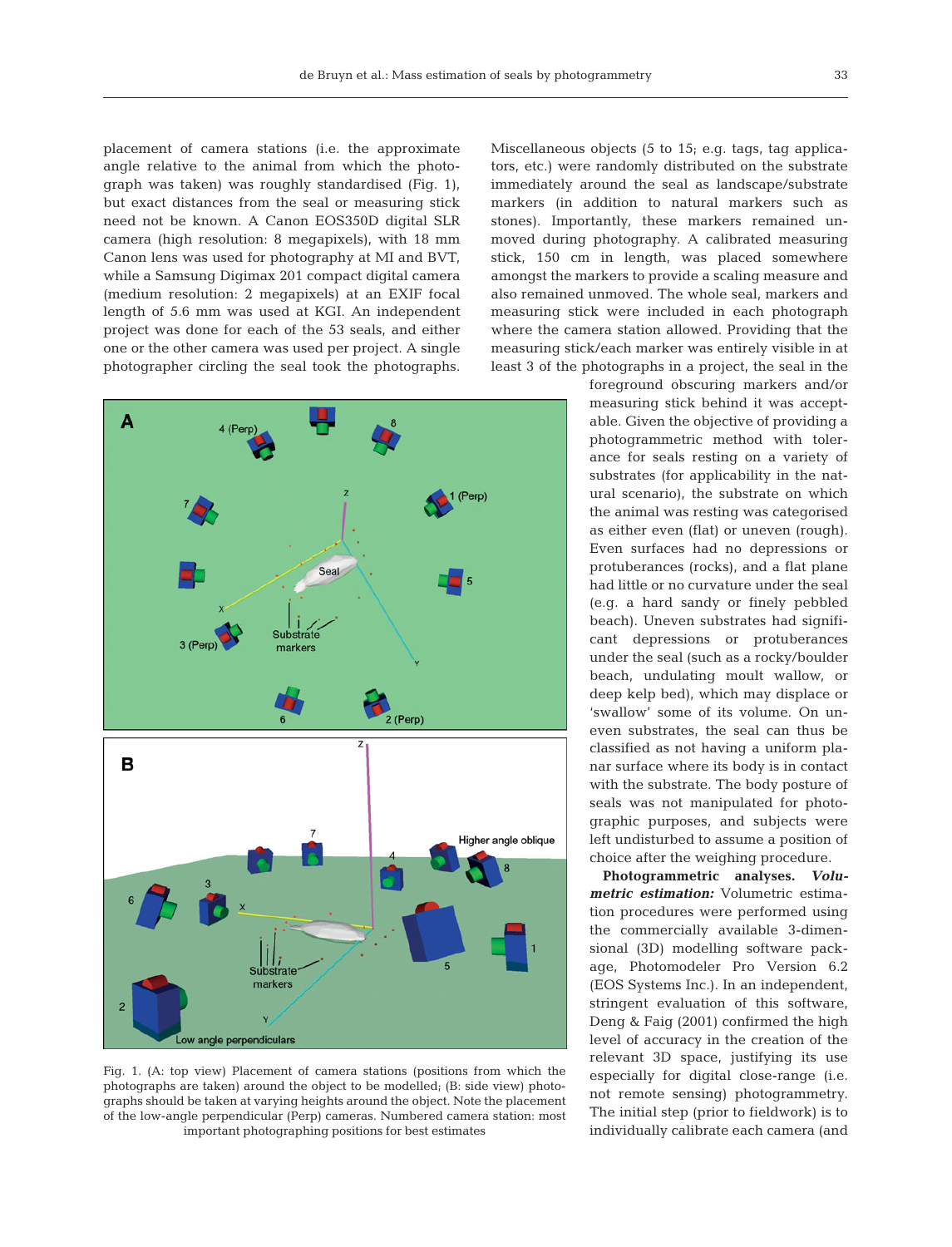placement of camera stations (i.e. the approximate angle relative to the animal from which the photograph was taken) was roughly standardised (Fig. 1), but exact distances from the seal or measuring stick need not be known. A Canon EOS350D digital SLR camera (high resolution: 8 megapixels), with 18 mm Canon lens was used for photography at MI and BVT, while a Samsung Digimax 201 compact digital camera (medium resolution: 2 megapixels) at an EXIF focal length of 5.6 mm was used at KGI. An independent project was done for each of the 53 seals, and either one or the other camera was used per project. A single photographer circling the seal took the photographs.



Fig. 1. (A: top view) Placement of camera stations (positions from which the photographs are taken) around the object to be modelled; (B: side view) photographs should be taken at varying heights around the object. Note the placement of the low-angle perpendicular (Perp) cameras. Numbered camera station: most important photographing positions for best estimates

Miscellaneous objects (5 to 15; e.g. tags, tag applicators, etc.) were randomly distributed on the substrate immediately around the seal as landscape/substrate markers (in addition to natural markers such as stones). Importantly, these markers remained unmoved during photography. A calibrated measuring stick, 150 cm in length, was placed somewhere amongst the markers to provide a scaling measure and also remained unmoved. The whole seal, markers and measuring stick were included in each photograph where the camera station allowed. Providing that the measuring stick/each marker was entirely visible in at least 3 of the photographs in a project, the seal in the

> foreground obscuring markers and/or measuring stick behind it was acceptable. Given the objective of providing a photogrammetric method with tolerance for seals resting on a variety of substrates (for applicability in the natural scenario), the substrate on which the animal was resting was categorised as either even (flat) or uneven (rough). Even surfaces had no depressions or protuberances (rocks), and a flat plane had little or no curvature under the seal (e.g. a hard sandy or finely pebbled beach). Uneven substrates had significant depressions or protuberances under the seal (such as a rocky/boulder beach, undulating moult wallow, or deep kelp bed), which may displace or 'swallow' some of its volume. On uneven substrates, the seal can thus be classified as not having a uniform planar surface where its body is in contact with the substrate. The body posture of seals was not manipulated for photographic purposes, and subjects were left undisturbed to assume a position of choice after the weighing procedure.

> **Photogrammetric analyses.** *Volumetric estimation:* Volumetric estimation procedures were performed using the commercially available 3-dimensional (3D) modelling software package, Photomodeler Pro Version 6.2 (EOS Systems Inc.). In an independent, stringent evaluation of this software, Deng & Faig (2001) confirmed the high level of accuracy in the creation of the relevant 3D space, justifying its use especially for digital close-range (i.e. not remote sensing) photogrammetry. The initial step (prior to fieldwork) is to individually calibrate each camera (and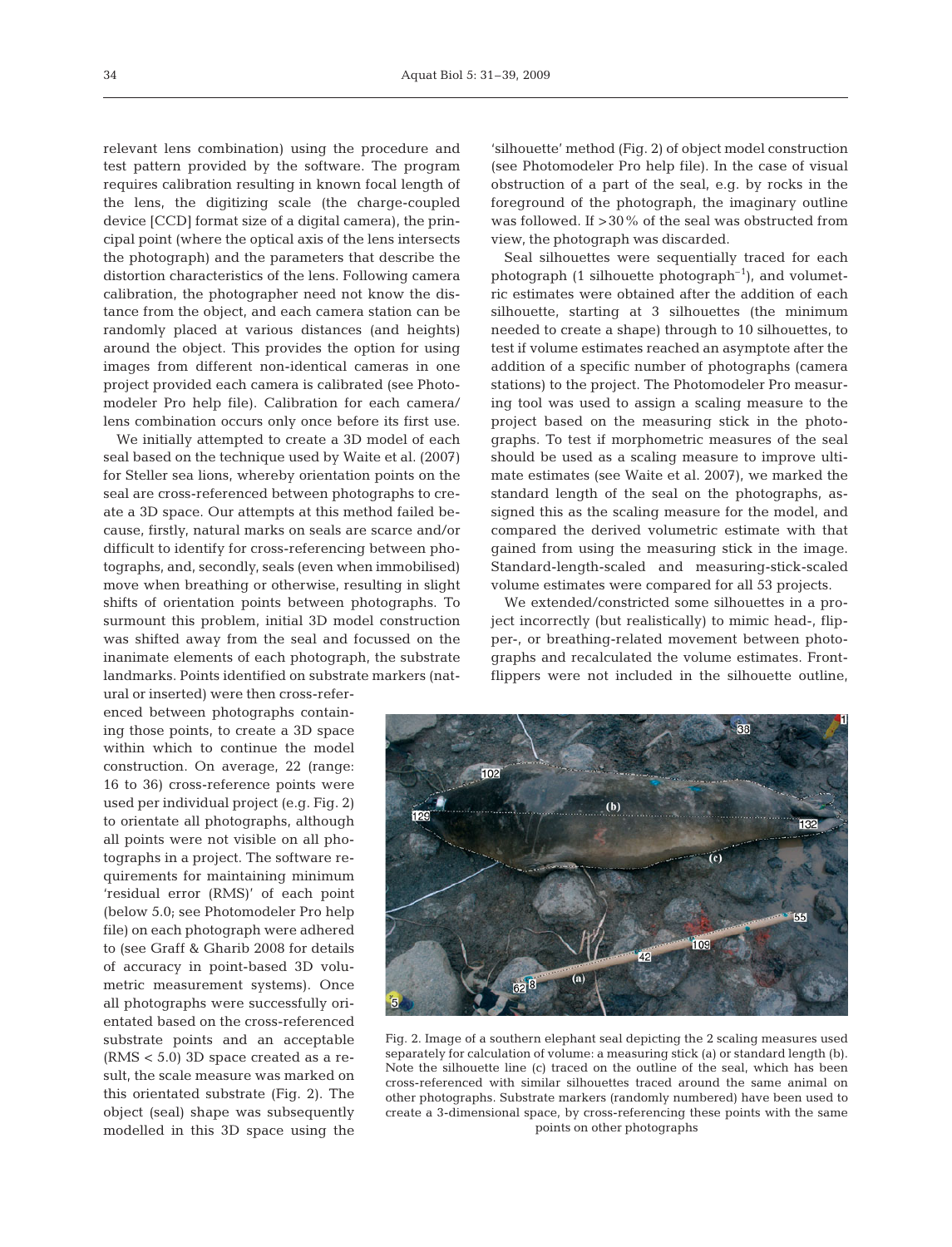relevant lens combination) using the procedure and test pattern provided by the software. The program requires calibration resulting in known focal length of the lens, the digitizing scale (the charge-coupled device [CCD] format size of a digital camera), the principal point (where the optical axis of the lens intersects the photograph) and the parameters that describe the distortion characteristics of the lens. Following camera calibration, the photographer need not know the distance from the object, and each camera station can be randomly placed at various distances (and heights) around the object. This provides the option for using images from different non-identical cameras in one project provided each camera is calibrated (see Photomodeler Pro help file). Calibration for each camera/ lens combination occurs only once before its first use.

We initially attempted to create a 3D model of each seal based on the technique used by Waite et al. (2007) for Steller sea lions, whereby orientation points on the seal are cross-referenced between photographs to create a 3D space. Our attempts at this method failed because, firstly, natural marks on seals are scarce and/or difficult to identify for cross-referencing between photographs, and, secondly, seals (even when immobilised) move when breathing or otherwise, resulting in slight shifts of orientation points between photographs. To surmount this problem, initial 3D model construction was shifted away from the seal and focussed on the inanimate elements of each photograph, the substrate landmarks. Points identified on substrate markers (nat-

ural or inserted) were then cross-referenced between photographs containing those points, to create a 3D space within which to continue the model construction. On average, 22 (range: 16 to 36) cross-reference points were used per individual project (e.g. Fig. 2) to orientate all photographs, although all points were not visible on all photographs in a project. The software requirements for maintaining minimum 'residual error (RMS)' of each point (below 5.0; see Photomodeler Pro help file) on each photograph were adhered to (see Graff & Gharib 2008 for details of accuracy in point-based 3D volumetric measurement systems). Once all photographs were successfully orientated based on the cross-referenced substrate points and an acceptable (RMS < 5.0) 3D space created as a result, the scale measure was marked on this orientated substrate (Fig. 2). The object (seal) shape was subsequently modelled in this 3D space using the

'silhouette' method (Fig. 2) of object model construction (see Photomodeler Pro help file). In the case of visual obstruction of a part of the seal, e.g. by rocks in the foreground of the photograph, the imaginary outline was followed. If >30% of the seal was obstructed from view, the photograph was discarded.

Seal silhouettes were sequentially traced for each photograph (1 silhouette photograph<sup>-1</sup>), and volumetric estimates were obtained after the addition of each silhouette, starting at 3 silhouettes (the minimum needed to create a shape) through to 10 silhouettes, to test if volume estimates reached an asymptote after the addition of a specific number of photographs (camera stations) to the project. The Photomodeler Pro measuring tool was used to assign a scaling measure to the project based on the measuring stick in the photographs. To test if morphometric measures of the seal should be used as a scaling measure to improve ultimate estimates (see Waite et al. 2007), we marked the standard length of the seal on the photographs, assigned this as the scaling measure for the model, and compared the derived volumetric estimate with that gained from using the measuring stick in the image. Standard-length-scaled and measuring-stick-scaled volume estimates were compared for all 53 projects.

We extended/constricted some silhouettes in a project incorrectly (but realistically) to mimic head-, flipper-, or breathing-related movement between photographs and recalculated the volume estimates. Frontflippers were not included in the silhouette outline,



Fig. 2. Image of a southern elephant seal depicting the 2 scaling measures used separately for calculation of volume: a measuring stick (a) or standard length (b). Note the silhouette line (c) traced on the outline of the seal, which has been cross-referenced with similar silhouettes traced around the same animal on other photographs. Substrate markers (randomly numbered) have been used to create a 3-dimensional space, by cross-referencing these points with the same points on other photographs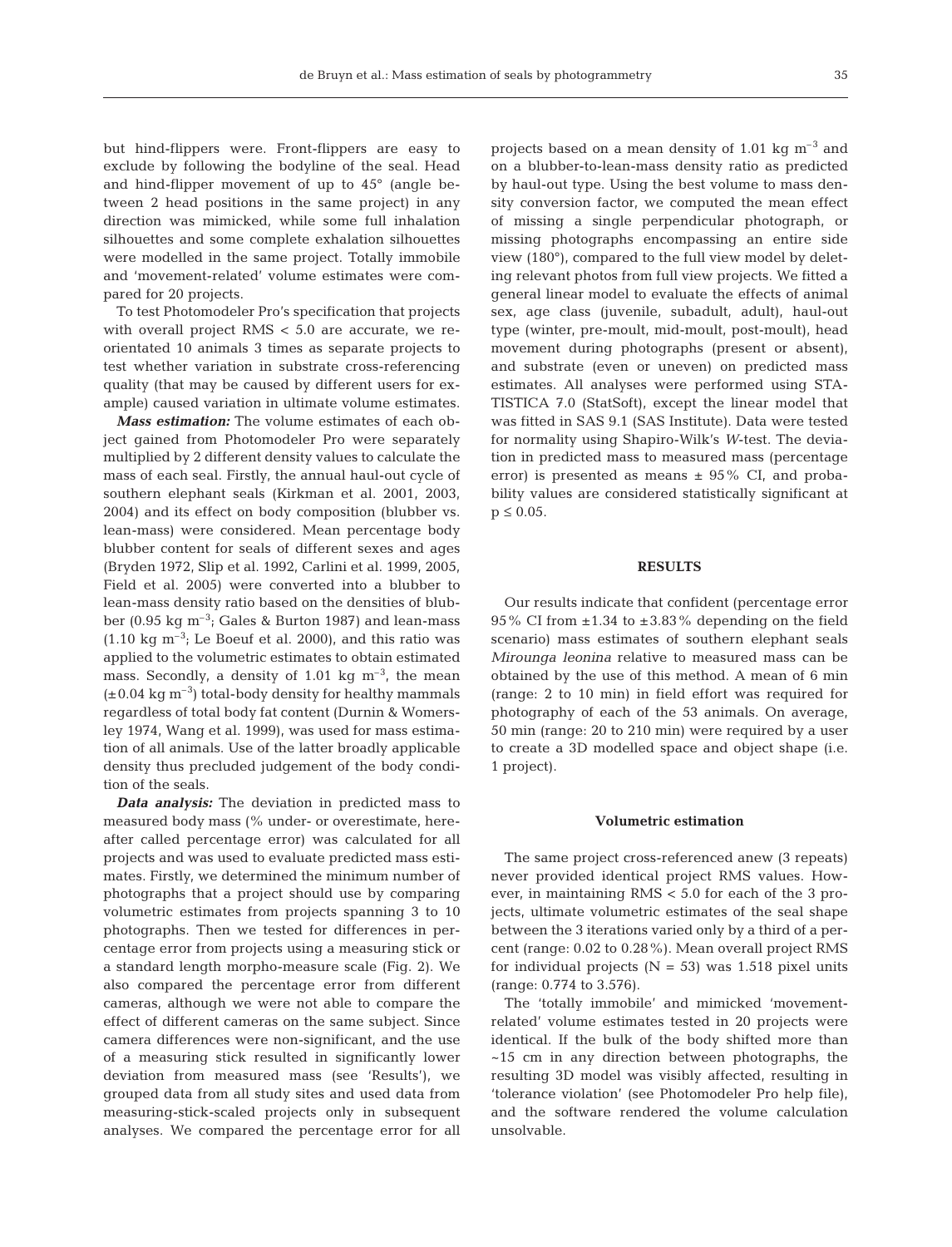but hind-flippers were. Front-flippers are easy to exclude by following the bodyline of the seal. Head and hind-flipper movement of up to 45° (angle between 2 head positions in the same project) in any direction was mimicked, while some full inhalation silhouettes and some complete exhalation silhouettes were modelled in the same project. Totally immobile and 'movement-related' volume estimates were compared for 20 projects.

To test Photomodeler Pro's specification that projects with overall project RMS < 5.0 are accurate, we reorientated 10 animals 3 times as separate projects to test whether variation in substrate cross-referencing quality (that may be caused by different users for example) caused variation in ultimate volume estimates.

*Mass estimation:* The volume estimates of each object gained from Photomodeler Pro were separately multiplied by 2 different density values to calculate the mass of each seal. Firstly, the annual haul-out cycle of southern elephant seals (Kirkman et al. 2001, 2003, 2004) and its effect on body composition (blubber vs. lean-mass) were considered. Mean percentage body blubber content for seals of different sexes and ages (Bryden 1972, Slip et al. 1992, Carlini et al. 1999, 2005, Field et al. 2005) were converted into a blubber to lean-mass density ratio based on the densities of blubber (0.95 kg  $\text{m}^{-3}$ ; Gales & Burton 1987) and lean-mass  $(1.10 \text{ kg m}^{-3})$ ; Le Boeuf et al. 2000), and this ratio was applied to the volumetric estimates to obtain estimated mass. Secondly, a density of 1.01 kg  $m^{-3}$ , the mean  $(\pm 0.04 \text{ kg m}^{-3})$  total-body density for healthy mammals regardless of total body fat content (Durnin & Womersley 1974, Wang et al. 1999), was used for mass estimation of all animals. Use of the latter broadly applicable density thus precluded judgement of the body condition of the seals.

*Data analysis:* The deviation in predicted mass to measured body mass (% under- or overestimate, hereafter called percentage error) was calculated for all projects and was used to evaluate predicted mass estimates. Firstly, we determined the minimum number of photographs that a project should use by comparing volumetric estimates from projects spanning 3 to 10 photographs. Then we tested for differences in percentage error from projects using a measuring stick or a standard length morpho-measure scale (Fig. 2). We also compared the percentage error from different cameras, although we were not able to compare the effect of different cameras on the same subject. Since camera differences were non-significant, and the use of a measuring stick resulted in significantly lower deviation from measured mass (see 'Results'), we grouped data from all study sites and used data from measuring-stick-scaled projects only in subsequent analyses. We compared the percentage error for all

projects based on a mean density of 1.01 kg  $m^{-3}$  and on a blubber-to-lean-mass density ratio as predicted by haul-out type. Using the best volume to mass density conversion factor, we computed the mean effect of missing a single perpendicular photograph, or missing photographs encompassing an entire side view (180°), compared to the full view model by deleting relevant photos from full view projects. We fitted a general linear model to evaluate the effects of animal sex, age class (juvenile, subadult, adult), haul-out type (winter, pre-moult, mid-moult, post-moult), head movement during photographs (present or absent), and substrate (even or uneven) on predicted mass estimates. All analyses were performed using STA-TISTICA 7.0 (StatSoft), except the linear model that was fitted in SAS 9.1 (SAS Institute). Data were tested for normality using Shapiro-Wilk's *W*-test. The deviation in predicted mass to measured mass (percentage error) is presented as means  $\pm$  95% CI, and probability values are considered statistically significant at  $p \le 0.05$ .

#### **RESULTS**

Our results indicate that confident (percentage error  $95\%$  CI from  $\pm 1.34$  to  $\pm 3.83\%$  depending on the field scenario) mass estimates of southern elephant seals *Mirounga leonina* relative to measured mass can be obtained by the use of this method. A mean of 6 min (range: 2 to 10 min) in field effort was required for photography of each of the 53 animals. On average, 50 min (range: 20 to 210 min) were required by a user to create a 3D modelled space and object shape (i.e. 1 project).

#### **Volumetric estimation**

The same project cross-referenced anew (3 repeats) never provided identical project RMS values. However, in maintaining RMS < 5.0 for each of the 3 projects, ultimate volumetric estimates of the seal shape between the 3 iterations varied only by a third of a percent (range: 0.02 to 0.28%). Mean overall project RMS for individual projects ( $N = 53$ ) was 1.518 pixel units (range: 0.774 to 3.576).

The 'totally immobile' and mimicked 'movementrelated' volume estimates tested in 20 projects were identical. If the bulk of the body shifted more than ~15 cm in any direction between photographs, the resulting 3D model was visibly affected, resulting in 'tolerance violation' (see Photomodeler Pro help file), and the software rendered the volume calculation unsolvable.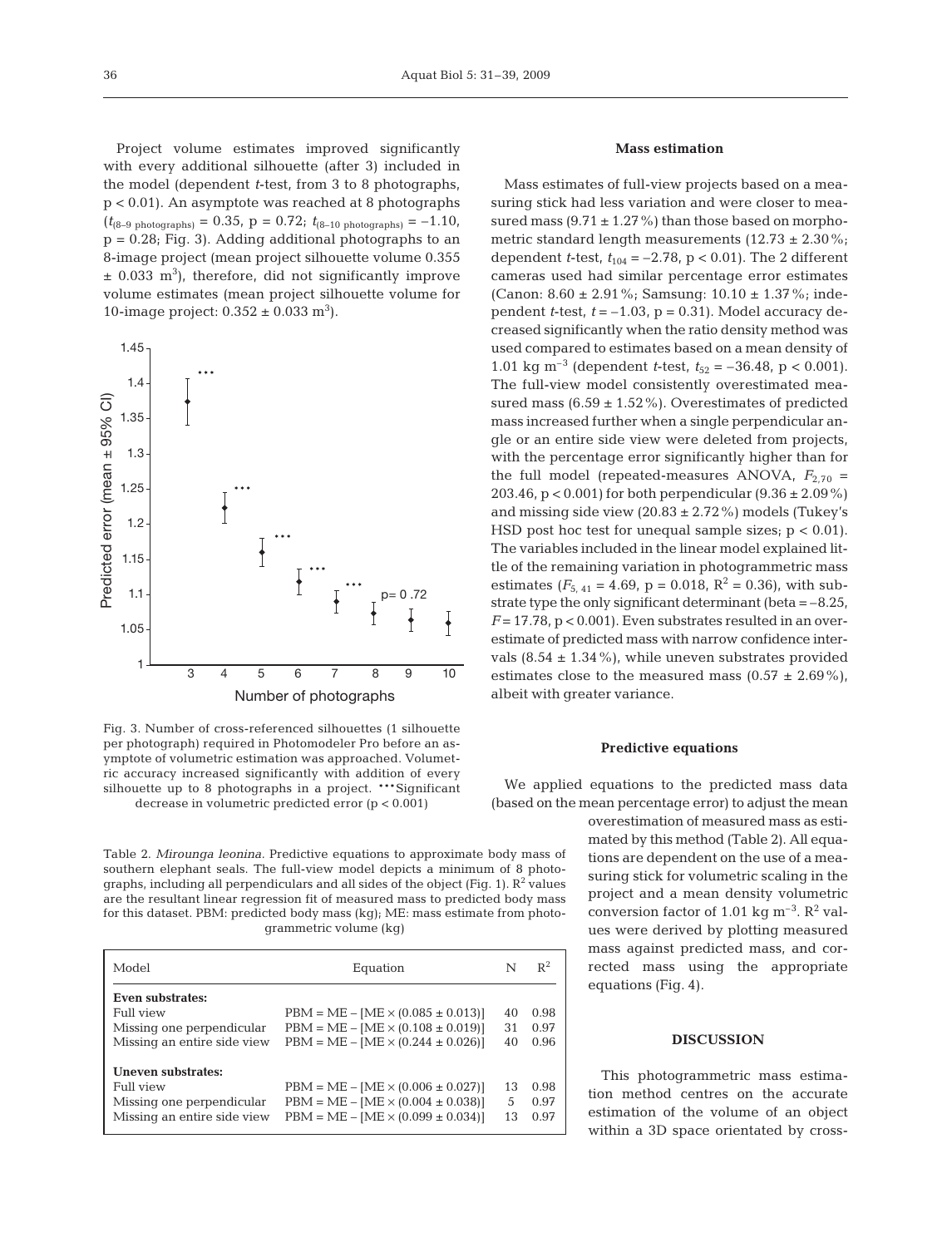Project volume estimates improved significantly with every additional silhouette (after 3) included in the model (dependent *t*-test, from 3 to 8 photographs, p < 0.01). An asymptote was reached at 8 photographs  $(t_{(8-9 \text{ photons})} = 0.35, \ p = 0.72; t_{(8-10 \text{ photons})} = -1.10,$ p = 0.28; Fig. 3). Adding additional photographs to an 8-image project (mean project silhouette volume 0.355  $\pm$  0.033 m<sup>3</sup>), therefore, did not significantly improve volume estimates (mean project silhouette volume for 10-image project:  $0.352 \pm 0.033$  m<sup>3</sup>).



Fig. 3. Number of cross-referenced silhouettes (1 silhouette per photograph) required in Photomodeler Pro before an asymptote of volumetric estimation was approached. Volumetric accuracy increased significantly with addition of every silhouette up to 8 photographs in a project. \*\*\*Significant decrease in volumetric predicted error (p < 0.001)

Table 2. *Mirounga leonina.* Predictive equations to approximate body mass of southern elephant seals. The full-view model depicts a minimum of 8 photographs, including all perpendiculars and all sides of the object (Fig. 1).  $R^2$  values are the resultant linear regression fit of measured mass to predicted body mass for this dataset. PBM: predicted body mass (kg); ME: mass estimate from photogrammetric volume (kg)

| Model                       | Equation                                   | N  | $R^2$ |
|-----------------------------|--------------------------------------------|----|-------|
| Even substrates:            |                                            |    |       |
| Full view                   | $PBM = ME - [ME \times (0.085 \pm 0.013)]$ | 40 | 0.98  |
| Missing one perpendicular   | $PBM = ME - [ME \times (0.108 \pm 0.019)]$ | 31 | 0.97  |
| Missing an entire side view | $PBM = ME - [ME \times (0.244 \pm 0.026)]$ | 40 | 0.96  |
| Uneven substrates:          |                                            |    |       |
| Full view                   | $PBM = ME - [ME \times (0.006 \pm 0.027)]$ | 13 | 0.98  |
| Missing one perpendicular   | $PBM = ME - [ME \times (0.004 \pm 0.038)]$ | 5  | 0.97  |
| Missing an entire side view | $PBM = ME - [ME \times (0.099 \pm 0.034)]$ | 13 | 0.97  |
|                             |                                            |    |       |

## **Mass estimation**

Mass estimates of full-view projects based on a measuring stick had less variation and were closer to measured mass  $(9.71 \pm 1.27\%)$  than those based on morphometric standard length measurements  $(12.73 \pm 2.30\%;$ dependent *t*-test,  $t_{104} = -2.78$ ,  $p < 0.01$ ). The 2 different cameras used had similar percentage error estimates (Canon:  $8.60 \pm 2.91\%$ ; Samsung:  $10.10 \pm 1.37\%$ ; independent *t*-test,  $t = -1.03$ ,  $p = 0.31$ ). Model accuracy decreased significantly when the ratio density method was used compared to estimates based on a mean density of 1.01 kg m<sup>-3</sup> (dependent *t*-test,  $t_{52} = -36.48$ , p < 0.001). The full-view model consistently overestimated measured mass  $(6.59 \pm 1.52\%)$ . Overestimates of predicted mass increased further when a single perpendicular angle or an entire side view were deleted from projects, with the percentage error significantly higher than for the full model (repeated-measures ANOVA,  $F_{2,70}$  = 203.46,  $p < 0.001$  for both perpendicular  $(9.36 \pm 2.09\%)$ and missing side view  $(20.83 \pm 2.72\%)$  models (Tukey's HSD post hoc test for unequal sample sizes;  $p < 0.01$ ). The variables included in the linear model explained little of the remaining variation in photogrammetric mass estimates ( $F_{5,41} = 4.69$ , p = 0.018, R<sup>2</sup> = 0.36), with substrate type the only significant determinant (beta  $=-8.25$ ,  $F = 17.78$ ,  $p < 0.001$ ). Even substrates resulted in an overestimate of predicted mass with narrow confidence intervals  $(8.54 \pm 1.34\%)$ , while uneven substrates provided estimates close to the measured mass  $(0.57 \pm 2.69\%)$ , albeit with greater variance.

#### **Predictive equations**

We applied equations to the predicted mass data (based on the mean percentage error) to adjust the mean

> overestimation of measured mass as estimated by this method (Table 2). All equations are dependent on the use of a measuring stick for volumetric scaling in the project and a mean density volumetric conversion factor of 1.01 kg  $\text{m}^{-3}$ .  $\text{R}^2$  values were derived by plotting measured mass against predicted mass, and corrected mass using the appropriate equations (Fig. 4).

#### **DISCUSSION**

This photogrammetric mass estimation method centres on the accurate estimation of the volume of an object within a 3D space orientated by cross-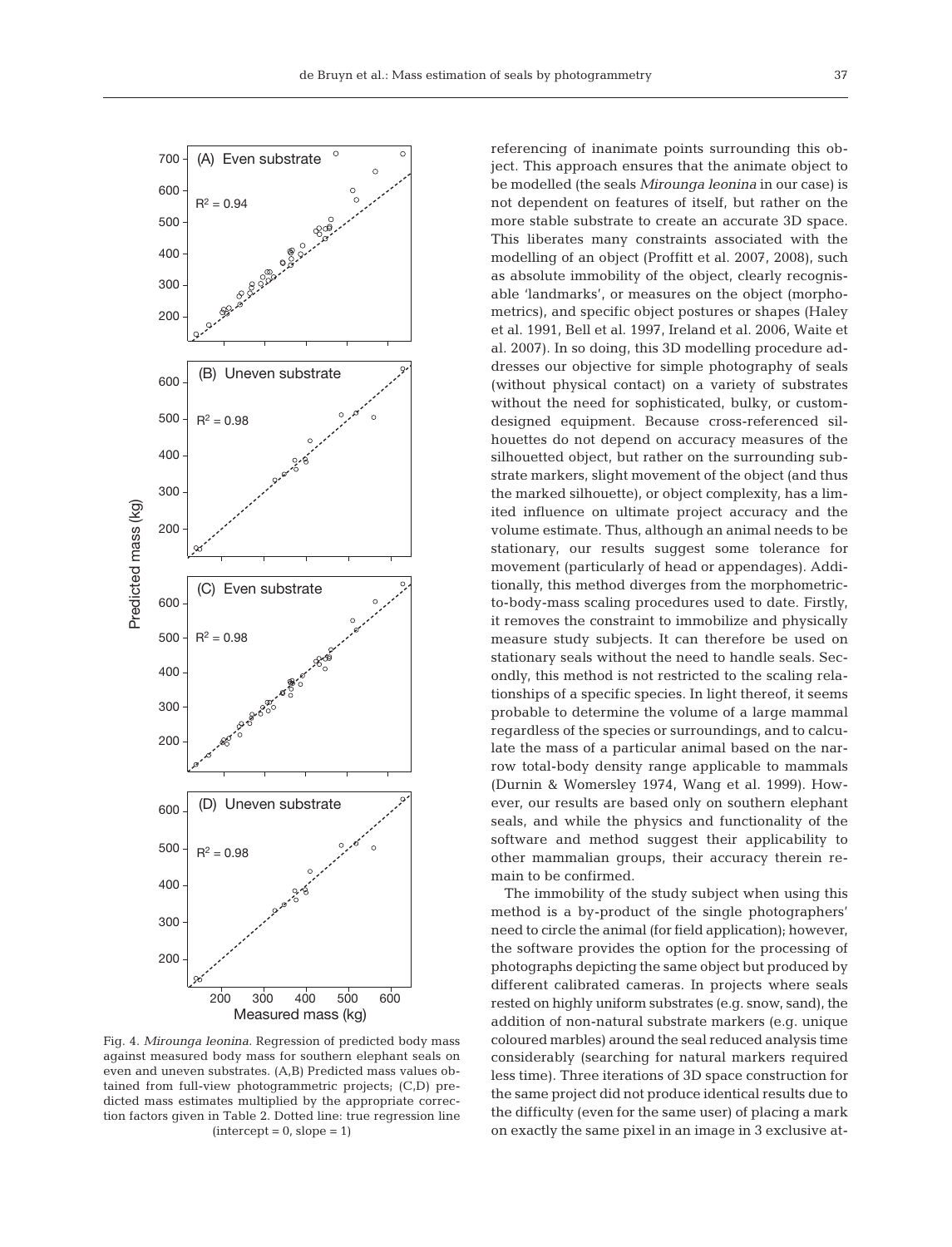

Fig. 4. *Mirounga leonina.* Regression of predicted body mass against measured body mass for southern elephant seals on even and uneven substrates. (A,B) Predicted mass values obtained from full-view photogrammetric projects; (C,D) predicted mass estimates multiplied by the appropriate correction factors given in Table 2. Dotted line: true regression line  $(intexcept = 0, slope = 1)$ 

referencing of inanimate points surrounding this object. This approach ensures that the animate object to be modelled (the seals *Mirounga leonina* in our case) is not dependent on features of itself, but rather on the more stable substrate to create an accurate 3D space. This liberates many constraints associated with the modelling of an object (Proffitt et al. 2007, 2008), such as absolute immobility of the object, clearly recognisable 'landmarks', or measures on the object (morphometrics), and specific object postures or shapes (Haley et al. 1991, Bell et al. 1997, Ireland et al. 2006, Waite et al. 2007). In so doing, this 3D modelling procedure addresses our objective for simple photography of seals (without physical contact) on a variety of substrates without the need for sophisticated, bulky, or customdesigned equipment. Because cross-referenced silhouettes do not depend on accuracy measures of the silhouetted object, but rather on the surrounding substrate markers, slight movement of the object (and thus the marked silhouette), or object complexity, has a limited influence on ultimate project accuracy and the volume estimate. Thus, although an animal needs to be stationary, our results suggest some tolerance for movement (particularly of head or appendages). Additionally, this method diverges from the morphometricto-body-mass scaling procedures used to date. Firstly, it removes the constraint to immobilize and physically measure study subjects. It can therefore be used on stationary seals without the need to handle seals. Secondly, this method is not restricted to the scaling relationships of a specific species. In light thereof, it seems probable to determine the volume of a large mammal regardless of the species or surroundings, and to calculate the mass of a particular animal based on the narrow total-body density range applicable to mammals (Durnin & Womersley 1974, Wang et al. 1999). However, our results are based only on southern elephant seals, and while the physics and functionality of the software and method suggest their applicability to other mammalian groups, their accuracy therein remain to be confirmed.

The immobility of the study subject when using this method is a by-product of the single photographers' need to circle the animal (for field application); however, the software provides the option for the processing of photographs depicting the same object but produced by different calibrated cameras. In projects where seals rested on highly uniform substrates (e.g. snow, sand), the addition of non-natural substrate markers (e.g. unique coloured marbles) around the seal reduced analysis time considerably (searching for natural markers required less time). Three iterations of 3D space construction for the same project did not produce identical results due to the difficulty (even for the same user) of placing a mark on exactly the same pixel in an image in 3 exclusive at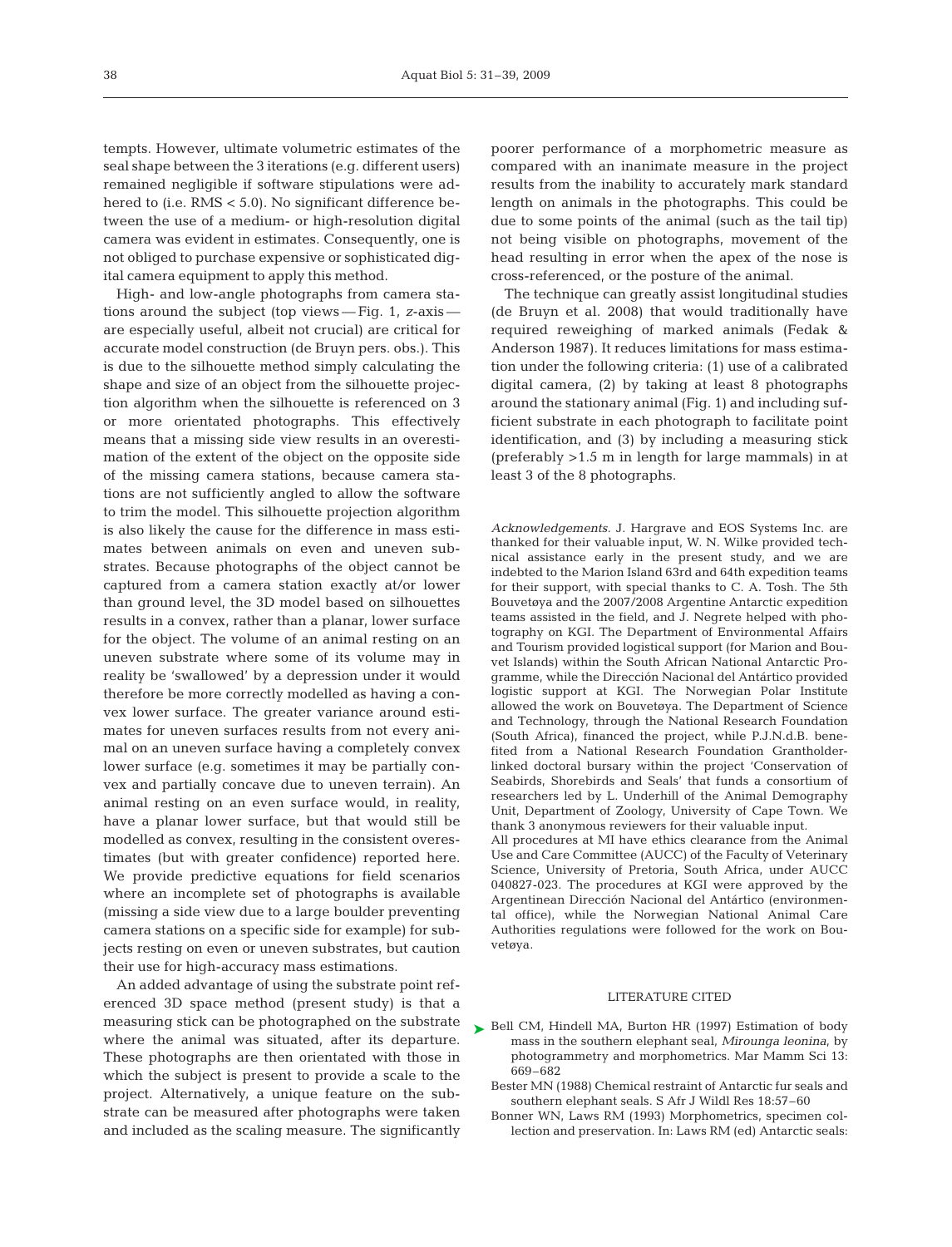tempts. However, ultimate volumetric estimates of the seal shape between the 3 iterations (e.g. different users) remained negligible if software stipulations were adhered to (i.e. RMS < 5.0). No significant difference between the use of a medium- or high-resolution digital camera was evident in estimates. Consequently, one is not obliged to purchase expensive or sophisticated digital camera equipment to apply this method.

High- and low-angle photographs from camera stations around the subject (top views — Fig. 1, *z*-axis are especially useful, albeit not crucial) are critical for accurate model construction (de Bruyn pers. obs.). This is due to the silhouette method simply calculating the shape and size of an object from the silhouette projection algorithm when the silhouette is referenced on 3 or more orientated photographs. This effectively means that a missing side view results in an overestimation of the extent of the object on the opposite side of the missing camera stations, because camera stations are not sufficiently angled to allow the software to trim the model. This silhouette projection algorithm is also likely the cause for the difference in mass estimates between animals on even and uneven substrates. Because photographs of the object cannot be captured from a camera station exactly at/or lower than ground level, the 3D model based on silhouettes results in a convex, rather than a planar, lower surface for the object. The volume of an animal resting on an uneven substrate where some of its volume may in reality be 'swallowed' by a depression under it would therefore be more correctly modelled as having a convex lower surface. The greater variance around estimates for uneven surfaces results from not every animal on an uneven surface having a completely convex lower surface (e.g. sometimes it may be partially convex and partially concave due to uneven terrain). An animal resting on an even surface would, in reality, have a planar lower surface, but that would still be modelled as convex, resulting in the consistent overestimates (but with greater confidence) reported here. We provide predictive equations for field scenarios where an incomplete set of photographs is available (missing a side view due to a large boulder preventing camera stations on a specific side for example) for subjects resting on even or uneven substrates, but caution their use for high-accuracy mass estimations.

An added advantage of using the substrate point referenced 3D space method (present study) is that a measuring stick can be photographed on the substrate where the animal was situated, after its departure. These photographs are then orientated with those in which the subject is present to provide a scale to the project. Alternatively, a unique feature on the substrate can be measured after photographs were taken and included as the scaling measure. The significantly

poorer performance of a morphometric measure as compared with an inanimate measure in the project results from the inability to accurately mark standard length on animals in the photographs. This could be due to some points of the animal (such as the tail tip) not being visible on photographs, movement of the head resulting in error when the apex of the nose is cross-referenced, or the posture of the animal.

The technique can greatly assist longitudinal studies (de Bruyn et al. 2008) that would traditionally have required reweighing of marked animals (Fedak & Anderson 1987). It reduces limitations for mass estimation under the following criteria: (1) use of a calibrated digital camera, (2) by taking at least 8 photographs around the stationary animal (Fig. 1) and including sufficient substrate in each photograph to facilitate point identification, and (3) by including a measuring stick (preferably >1.5 m in length for large mammals) in at least 3 of the 8 photographs.

*Acknowledgements.* J. Hargrave and EOS Systems Inc. are thanked for their valuable input, W. N. Wilke provided technical assistance early in the present study, and we are indebted to the Marion Island 63rd and 64th expedition teams for their support, with special thanks to C. A. Tosh. The 5th Bouvetøya and the 2007/2008 Argentine Antarctic expedition teams assisted in the field, and J. Negrete helped with photography on KGI. The Department of Environmental Affairs and Tourism provided logistical support (for Marion and Bouvet Islands) within the South African National Antarctic Programme, while the Dirección Nacional del Antártico provided logistic support at KGI. The Norwegian Polar Institute allowed the work on Bouvetøya. The Department of Science and Technology, through the National Research Foundation (South Africa), financed the project, while P.J.N.d.B. benefited from a National Research Foundation Grantholderlinked doctoral bursary within the project 'Conservation of Seabirds, Shorebirds and Seals' that funds a consortium of researchers led by L. Underhill of the Animal Demography Unit, Department of Zoology, University of Cape Town. We thank 3 anonymous reviewers for their valuable input. All procedures at MI have ethics clearance from the Animal

Use and Care Committee (AUCC) of the Faculty of Veterinary Science, University of Pretoria, South Africa, under AUCC 040827-023. The procedures at KGI were approved by the Argentinean Dirección Nacional del Antártico (environmental office), while the Norwegian National Animal Care Authorities regulations were followed for the work on Bouvetøya.

#### LITERATURE CITED

- ► Bell CM, Hindell MA, Burton HR (1997) Estimation of body mass in the southern elephant seal, *Mirounga leonina*, by photogrammetry and morphometrics. Mar Mamm Sci 13: 669–682
	- Bester MN (1988) Chemical restraint of Antarctic fur seals and southern elephant seals. S Afr J Wildl Res 18:57–60
	- Bonner WN, Laws RM (1993) Morphometrics, specimen collection and preservation. In: Laws RM (ed) Antarctic seals: